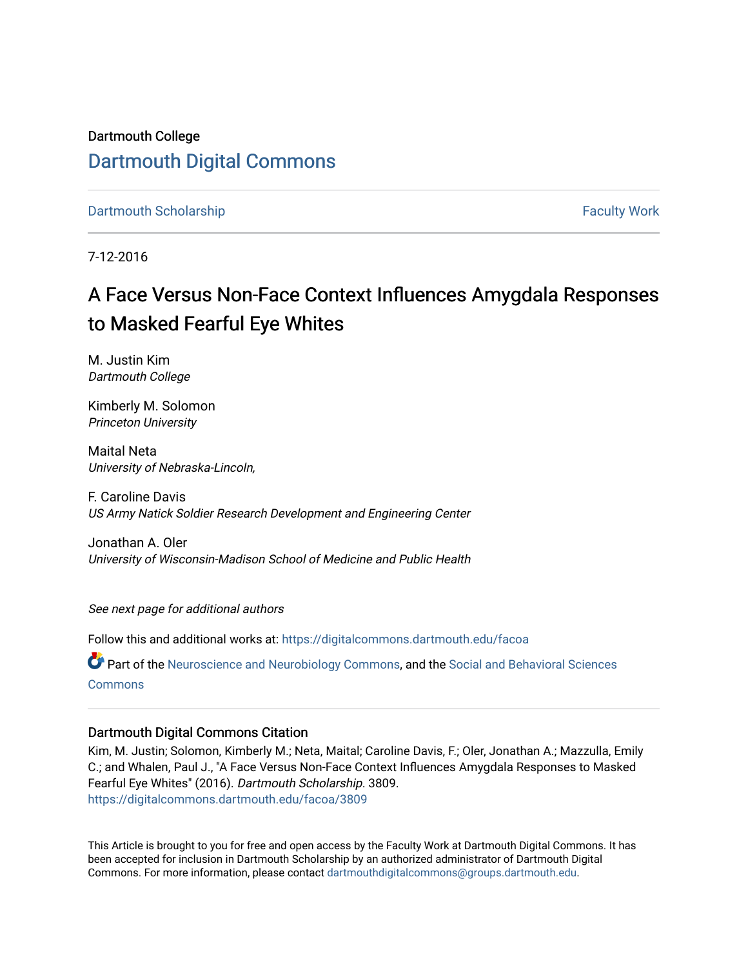Dartmouth College [Dartmouth Digital Commons](https://digitalcommons.dartmouth.edu/) 

[Dartmouth Scholarship](https://digitalcommons.dartmouth.edu/facoa) [Faculty Work](https://digitalcommons.dartmouth.edu/faculty) and The Basic Scholarship Faculty Work Faculty Work

7-12-2016

## A Face Versus Non-Face Context Influences Amygdala Responses to Masked Fearful Eye Whites

M. Justin Kim Dartmouth College

Kimberly M. Solomon Princeton University

Maital Neta University of Nebraska-Lincoln,

F. Caroline Davis US Army Natick Soldier Research Development and Engineering Center

Jonathan A. Oler University of Wisconsin-Madison School of Medicine and Public Health

See next page for additional authors

Follow this and additional works at: [https://digitalcommons.dartmouth.edu/facoa](https://digitalcommons.dartmouth.edu/facoa?utm_source=digitalcommons.dartmouth.edu%2Ffacoa%2F3809&utm_medium=PDF&utm_campaign=PDFCoverPages)

Part of the [Neuroscience and Neurobiology Commons,](http://network.bepress.com/hgg/discipline/55?utm_source=digitalcommons.dartmouth.edu%2Ffacoa%2F3809&utm_medium=PDF&utm_campaign=PDFCoverPages) and the [Social and Behavioral Sciences](http://network.bepress.com/hgg/discipline/316?utm_source=digitalcommons.dartmouth.edu%2Ffacoa%2F3809&utm_medium=PDF&utm_campaign=PDFCoverPages) **[Commons](http://network.bepress.com/hgg/discipline/316?utm_source=digitalcommons.dartmouth.edu%2Ffacoa%2F3809&utm_medium=PDF&utm_campaign=PDFCoverPages)** 

## Dartmouth Digital Commons Citation

Kim, M. Justin; Solomon, Kimberly M.; Neta, Maital; Caroline Davis, F.; Oler, Jonathan A.; Mazzulla, Emily C.; and Whalen, Paul J., "A Face Versus Non-Face Context Influences Amygdala Responses to Masked Fearful Eye Whites" (2016). Dartmouth Scholarship. 3809. [https://digitalcommons.dartmouth.edu/facoa/3809](https://digitalcommons.dartmouth.edu/facoa/3809?utm_source=digitalcommons.dartmouth.edu%2Ffacoa%2F3809&utm_medium=PDF&utm_campaign=PDFCoverPages) 

This Article is brought to you for free and open access by the Faculty Work at Dartmouth Digital Commons. It has been accepted for inclusion in Dartmouth Scholarship by an authorized administrator of Dartmouth Digital Commons. For more information, please contact [dartmouthdigitalcommons@groups.dartmouth.edu](mailto:dartmouthdigitalcommons@groups.dartmouth.edu).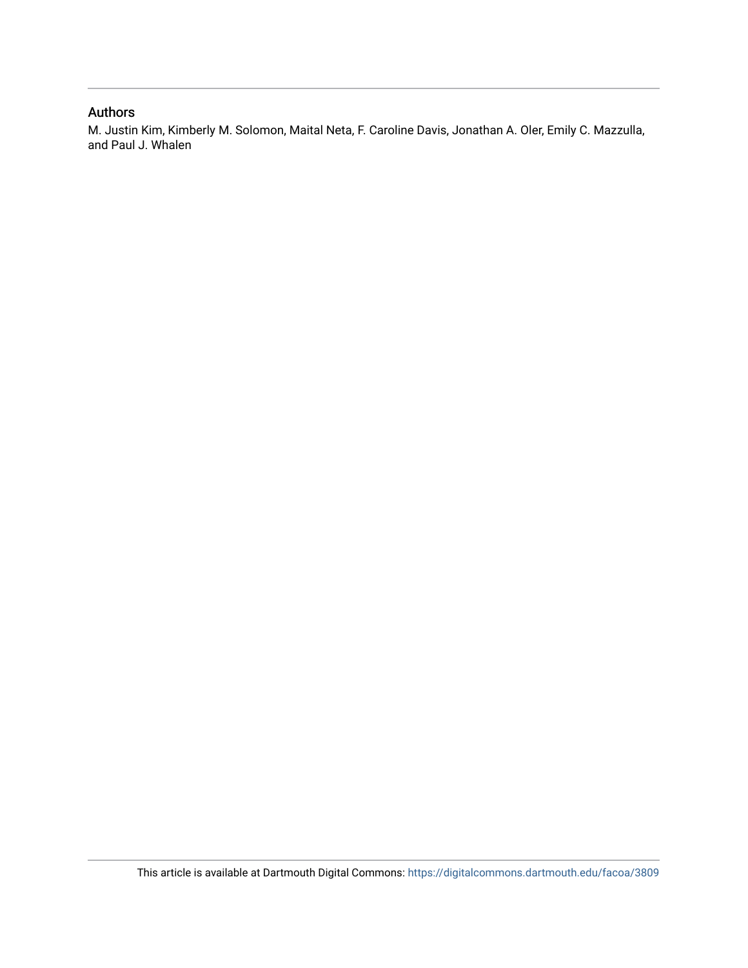## Authors

M. Justin Kim, Kimberly M. Solomon, Maital Neta, F. Caroline Davis, Jonathan A. Oler, Emily C. Mazzulla, and Paul J. Whalen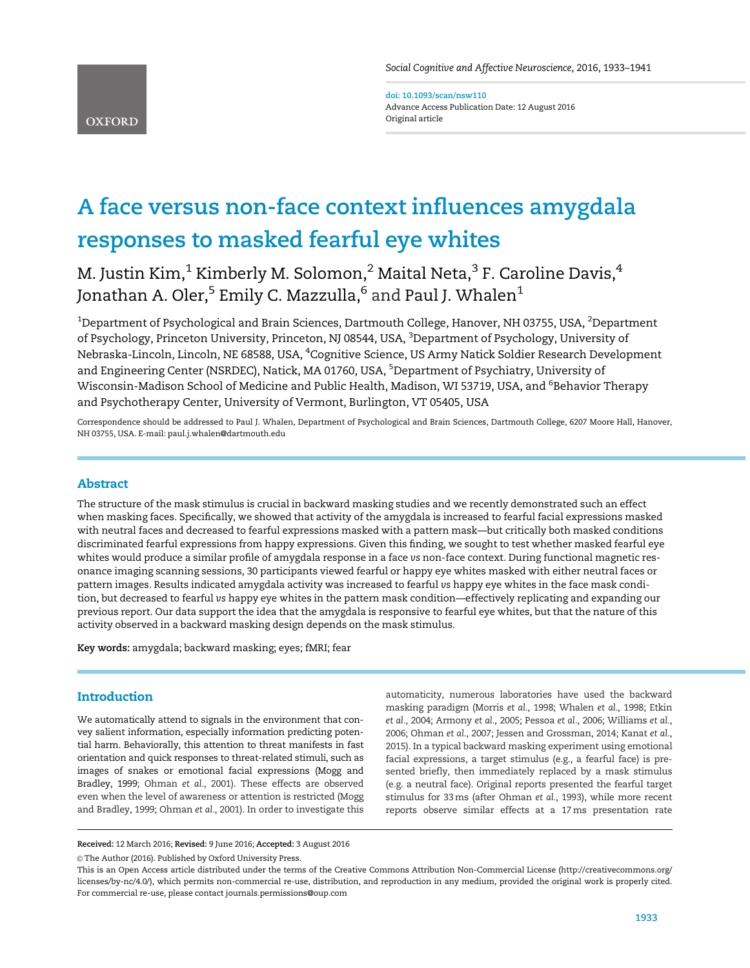**OXFORD** 

doi: 10.1093/scan/nsw110 Advance Access Publication Date: 12 August 2016 Original article

# A face versus non-face context influences amygdala responses to masked fearful eye whites

M. Justin Kim, $^1$  Kimberly M. Solomon, $^2$  Maital Neta, $^3$  F. Caroline Davis, $^4$ Jonathan A. Oler,<sup>5</sup> Emily C. Mazzulla,<sup>6</sup> and Paul J. Whalen<sup>1</sup>

 $^{\rm 1}$ Department of Psychological and Brain Sciences, Dartmouth College, Hanover, NH 03755, USA,  $^{\rm 2}$ Department of Psychology, Princeton University, Princeton, NJ 08544, USA, <sup>3</sup>Department of Psychology, University of Nebraska-Lincoln, Lincoln, NE 68588, USA, <sup>4</sup>Cognitive Science, US Army Natick Soldier Research Development and Engineering Center (NSRDEC), Natick, MA 01760, USA, <sup>5</sup>Department of Psychiatry, University of Wisconsin-Madison School of Medicine and Public Health, Madison, WI 53719, USA, and <sup>6</sup>Behavior Therapy and Psychotherapy Center, University of Vermont, Burlington, VT 05405, USA

Correspondence should be addressed to Paul J. Whalen, Department of Psychological and Brain Sciences, Dartmouth College, 6207 Moore Hall, Hanover, NH 03755, USA. E-mail: paul.j.whalen@dartmouth.edu

#### Abstract

The structure of the mask stimulus is crucial in backward masking studies and we recently demonstrated such an effect when masking faces. Specifically, we showed that activity of the amygdala is increased to fearful facial expressions masked with neutral faces and decreased to fearful expressions masked with a pattern mask—but critically both masked conditions discriminated fearful expressions from happy expressions. Given this finding, we sought to test whether masked fearful eye whites would produce a similar profile of amygdala response in a face vs non-face context. During functional magnetic resonance imaging scanning sessions, 30 participants viewed fearful or happy eye whites masked with either neutral faces or pattern images. Results indicated amygdala activity was increased to fearful vs happy eye whites in the face mask condition, but decreased to fearful vs happy eye whites in the pattern mask condition—effectively replicating and expanding our previous report. Our data support the idea that the amygdala is responsive to fearful eye whites, but that the nature of this activity observed in a backward masking design depends on the mask stimulus.

Key words: amygdala; backward masking; eyes; fMRI; fear

### **Introduction**

We automatically attend to signals in the environment that convey salient information, especially information predicting potential harm. Behaviorally, this attention to threat manifests in fast orientation and quick responses to threat-related stimuli, such as images of snakes or emotional facial expressions ([Mogg and](#page-9-0) [Bradley, 1999](#page-9-0); [Ohman](#page-10-0) et al., 2001). These effects are observed even when the level of awareness or attention is restricted ([Mogg](#page-9-0) [and Bradley, 1999](#page-9-0); [Ohman](#page-10-0) et al., 2001). In order to investigate this

automaticity, numerous laboratories have used the backward masking paradigm [\(Morris](#page-9-0) et al., 1998; [Whalen](#page-10-0) et al., 1998; [Etkin](#page-9-0) et al.[, 2004;](#page-9-0) Armony et al., 2005; [Pessoa](#page-10-0) et al., 2006; [Williams](#page-10-0) et al., [2006](#page-10-0); Ohman et al., 2007; [Jessen and Grossman, 2014](#page-9-0); [Kanat](#page-9-0) et al., [2015](#page-9-0)). In a typical backward masking experiment using emotional facial expressions, a target stimulus (e.g., a fearful face) is presented briefly, then immediately replaced by a mask stimulus (e.g. a neutral face). Original reports presented the fearful target stimulus for 33ms (after Ohman et al., 1993), while more recent reports observe similar effects at a 17ms presentation rate

Received: 12 March 2016; Revised: 9 June 2016; Accepted: 3 August 2016

© The Author (2016). Published by Oxford University Press.

This is an Open Access article distributed under the terms of the Creative Commons Attribution Non-Commercial License (http://creativecommons.org/ licenses/by-nc/4.0/), which permits non-commercial re-use, distribution, and reproduction in any medium, provided the original work is properly cited. For commercial re-use, please contact journals.permissions@oup.com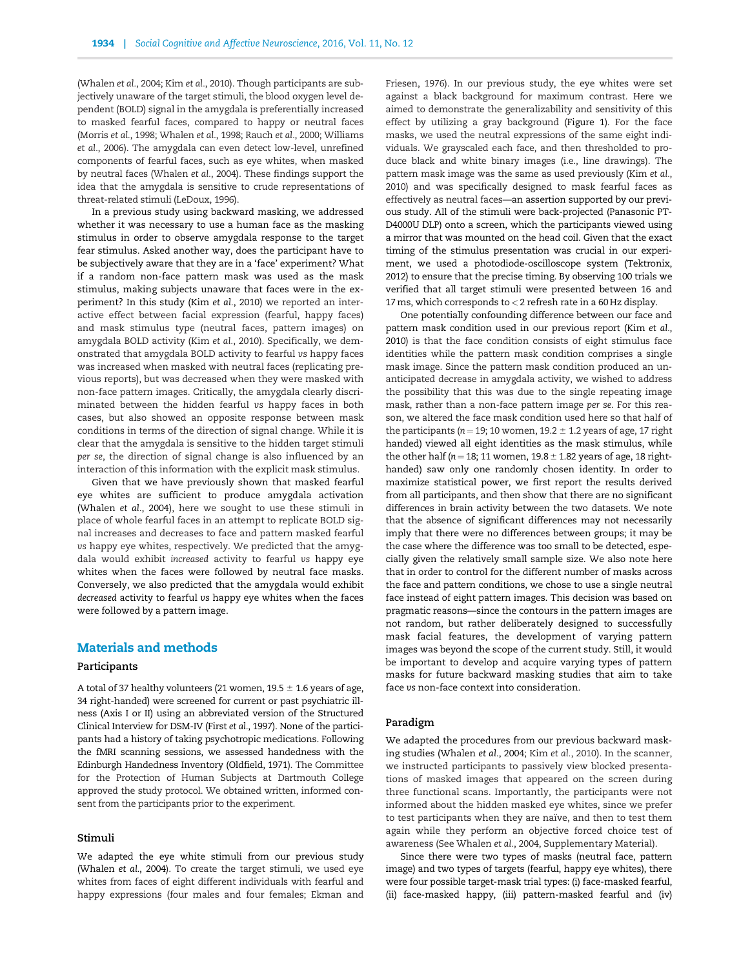[\(Whalen](#page-10-0) et al., 2004; Kim et al.[, 2010](#page-9-0)). Though participants are subjectively unaware of the target stimuli, the blood oxygen level dependent (BOLD) signal in the amygdala is preferentially increased to masked fearful faces, compared to happy or neutral faces [\(Morris](#page-9-0) et al., 1998; [Whalen](#page-10-0) et al., 1998; [Rauch](#page-10-0) et al., 2000; [Williams](#page-10-0) et al.[, 2006](#page-10-0)). The amygdala can even detect low-level, unrefined components of fearful faces, such as eye whites, when masked by neutral faces [\(Whalen](#page-10-0) et al., 2004). These findings support the idea that the amygdala is sensitive to crude representations of threat-related stimuli [\(LeDoux, 1996](#page-9-0)).

In a previous study using backward masking, we addressed whether it was necessary to use a human face as the masking stimulus in order to observe amygdala response to the target fear stimulus. Asked another way, does the participant have to be subjectively aware that they are in a 'face' experiment? What if a random non-face pattern mask was used as the mask stimulus, making subjects unaware that faces were in the experiment? In this study (Kim et al.[, 2010](#page-9-0)) we reported an interactive effect between facial expression (fearful, happy faces) and mask stimulus type (neutral faces, pattern images) on amygdala BOLD activity (Kim et al.[, 2010\)](#page-9-0). Specifically, we demonstrated that amygdala BOLD activity to fearful vs happy faces was increased when masked with neutral faces (replicating previous reports), but was decreased when they were masked with non-face pattern images. Critically, the amygdala clearly discriminated between the hidden fearful vs happy faces in both cases, but also showed an opposite response between mask conditions in terms of the direction of signal change. While it is clear that the amygdala is sensitive to the hidden target stimuli per se, the direction of signal change is also influenced by an interaction of this information with the explicit mask stimulus.

Given that we have previously shown that masked fearful eye whites are sufficient to produce amygdala activation [\(Whalen](#page-10-0) et al., 2004), here we sought to use these stimuli in place of whole fearful faces in an attempt to replicate BOLD signal increases and decreases to face and pattern masked fearful vs happy eye whites, respectively. We predicted that the amygdala would exhibit increased activity to fearful vs happy eye whites when the faces were followed by neutral face masks. Conversely, we also predicted that the amygdala would exhibit decreased activity to fearful vs happy eye whites when the faces were followed by a pattern image.

#### Materials and methods

#### Participants

A total of 37 healthy volunteers (21 women, 19.5  $\pm$  1.6 years of age, 34 right-handed) were screened for current or past psychiatric illness (Axis I or II) using an abbreviated version of the Structured Clinical Interview for DSM-IV (First et al., 1997). None of the participants had a history of taking psychotropic medications. Following the fMRI scanning sessions, we assessed handedness with the Edinburgh Handedness Inventory [\(Oldfield, 1971\)](#page-10-0). The Committee for the Protection of Human Subjects at Dartmouth College approved the study protocol. We obtained written, informed consent from the participants prior to the experiment.

#### Stimuli

We adapted the eye white stimuli from our previous study [\(Whalen](#page-10-0) et al., 2004). To create the target stimuli, we used eye whites from faces of eight different individuals with fearful and happy expressions (four males and four females; [Ekman and](#page-9-0) [Friesen, 1976\)](#page-9-0). In our previous study, the eye whites were set against a black background for maximum contrast. Here we aimed to demonstrate the generalizability and sensitivity of this effect by utilizing a gray background [\(Figure 1\)](#page-4-0). For the face masks, we used the neutral expressions of the same eight individuals. We grayscaled each face, and then thresholded to produce black and white binary images (i.e., line drawings). The pattern mask image was the same as used previously (Kim [et al.](#page-9-0), [2010](#page-9-0)) and was specifically designed to mask fearful faces as effectively as neutral faces—an assertion supported by our previous study. All of the stimuli were back-projected (Panasonic PT-D4000U DLP) onto a screen, which the participants viewed using a mirror that was mounted on the head coil. Given that the exact timing of the stimulus presentation was crucial in our experiment, we used a photodiode-oscilloscope system (Tektronix, 2012) to ensure that the precise timing. By observing 100 trials we verified that all target stimuli were presented between 16 and 17ms, which corresponds to< 2 refresh rate in a 60 Hz display.

One potentially confounding difference between our face and pattern mask condition used in our previous report (Kim [et al.](#page-9-0), [2010](#page-9-0)) is that the face condition consists of eight stimulus face identities while the pattern mask condition comprises a single mask image. Since the pattern mask condition produced an unanticipated decrease in amygdala activity, we wished to address the possibility that this was due to the single repeating image mask, rather than a non-face pattern image per se. For this reason, we altered the face mask condition used here so that half of the participants ( $n = 19$ ; 10 women, 19.2  $\pm$  1.2 years of age, 17 right handed) viewed all eight identities as the mask stimulus, while the other half ( $n = 18$ ; 11 women, 19.8  $\pm$  1.82 years of age, 18 righthanded) saw only one randomly chosen identity. In order to maximize statistical power, we first report the results derived from all participants, and then show that there are no significant differences in brain activity between the two datasets. We note that the absence of significant differences may not necessarily imply that there were no differences between groups; it may be the case where the difference was too small to be detected, especially given the relatively small sample size. We also note here that in order to control for the different number of masks across the face and pattern conditions, we chose to use a single neutral face instead of eight pattern images. This decision was based on pragmatic reasons—since the contours in the pattern images are not random, but rather deliberately designed to successfully mask facial features, the development of varying pattern images was beyond the scope of the current study. Still, it would be important to develop and acquire varying types of pattern masks for future backward masking studies that aim to take face vs non-face context into consideration.

#### Paradigm

We adapted the procedures from our previous backward masking studies ([Whalen](#page-10-0) et al., 2004; Kim et al.[, 2010](#page-9-0)). In the scanner, we instructed participants to passively view blocked presentations of masked images that appeared on the screen during three functional scans. Importantly, the participants were not informed about the hidden masked eye whites, since we prefer to test participants when they are naïve, and then to test them again while they perform an objective forced choice test of awareness (See [Whalen](#page-10-0) et al., 2004, Supplementary Material).

Since there were two types of masks (neutral face, pattern image) and two types of targets (fearful, happy eye whites), there were four possible target-mask trial types: (i) face-masked fearful, (ii) face-masked happy, (iii) pattern-masked fearful and (iv)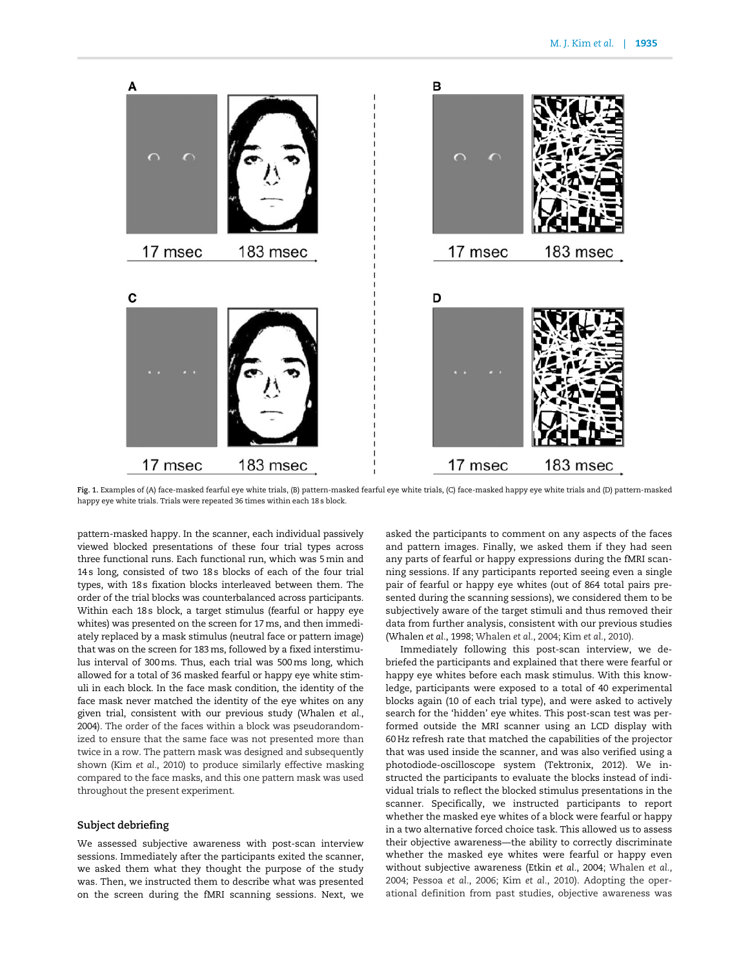<span id="page-4-0"></span>

Fig. 1. Examples of (A) face-masked fearful eye white trials, (B) pattern-masked fearful eye white trials, (C) face-masked happy eye white trials and (D) pattern-masked happy eye white trials. Trials were repeated 36 times within each 18 s block.

pattern-masked happy. In the scanner, each individual passively viewed blocked presentations of these four trial types across three functional runs. Each functional run, which was 5min and 14 s long, consisted of two 18 s blocks of each of the four trial types, with 18 s fixation blocks interleaved between them. The order of the trial blocks was counterbalanced across participants. Within each 18s block, a target stimulus (fearful or happy eye whites) was presented on the screen for 17ms, and then immediately replaced by a mask stimulus (neutral face or pattern image) that was on the screen for 183ms, followed by a fixed interstimulus interval of 300ms. Thus, each trial was 500ms long, which allowed for a total of 36 masked fearful or happy eye white stimuli in each block. In the face mask condition, the identity of the face mask never matched the identity of the eye whites on any given trial, consistent with our previous study [\(Whalen](#page-10-0) et al., [2004](#page-10-0)). The order of the faces within a block was pseudorandomized to ensure that the same face was not presented more than twice in a row. The pattern mask was designed and subsequently shown (Kim et al.[, 2010](#page-9-0)) to produce similarly effective masking compared to the face masks, and this one pattern mask was used throughout the present experiment.

#### Subject debriefing

We assessed subjective awareness with post-scan interview sessions. Immediately after the participants exited the scanner, we asked them what they thought the purpose of the study was. Then, we instructed them to describe what was presented on the screen during the fMRI scanning sessions. Next, we

asked the participants to comment on any aspects of the faces and pattern images. Finally, we asked them if they had seen any parts of fearful or happy expressions during the fMRI scanning sessions. If any participants reported seeing even a single pair of fearful or happy eye whites (out of 864 total pairs presented during the scanning sessions), we considered them to be subjectively aware of the target stimuli and thus removed their data from further analysis, consistent with our previous studies [\(Whalen](#page-10-0) et al., 1998; [Whalen](#page-10-0) et al., 2004; Kim et al.[, 2010](#page-9-0)).

Immediately following this post-scan interview, we debriefed the participants and explained that there were fearful or happy eye whites before each mask stimulus. With this knowledge, participants were exposed to a total of 40 experimental blocks again (10 of each trial type), and were asked to actively search for the 'hidden' eye whites. This post-scan test was performed outside the MRI scanner using an LCD display with 60 Hz refresh rate that matched the capabilities of the projector that was used inside the scanner, and was also verified using a photodiode-oscilloscope system (Tektronix, 2012). We instructed the participants to evaluate the blocks instead of individual trials to reflect the blocked stimulus presentations in the scanner. Specifically, we instructed participants to report whether the masked eye whites of a block were fearful or happy in a two alternative forced choice task. This allowed us to assess their objective awareness—the ability to correctly discriminate whether the masked eye whites were fearful or happy even without subjective awareness (Etkin et al.[, 2004;](#page-9-0) [Whalen](#page-10-0) et al., [2004; Pessoa](#page-10-0) et al., 2006; Kim et al.[, 2010](#page-9-0)). Adopting the operational definition from past studies, objective awareness was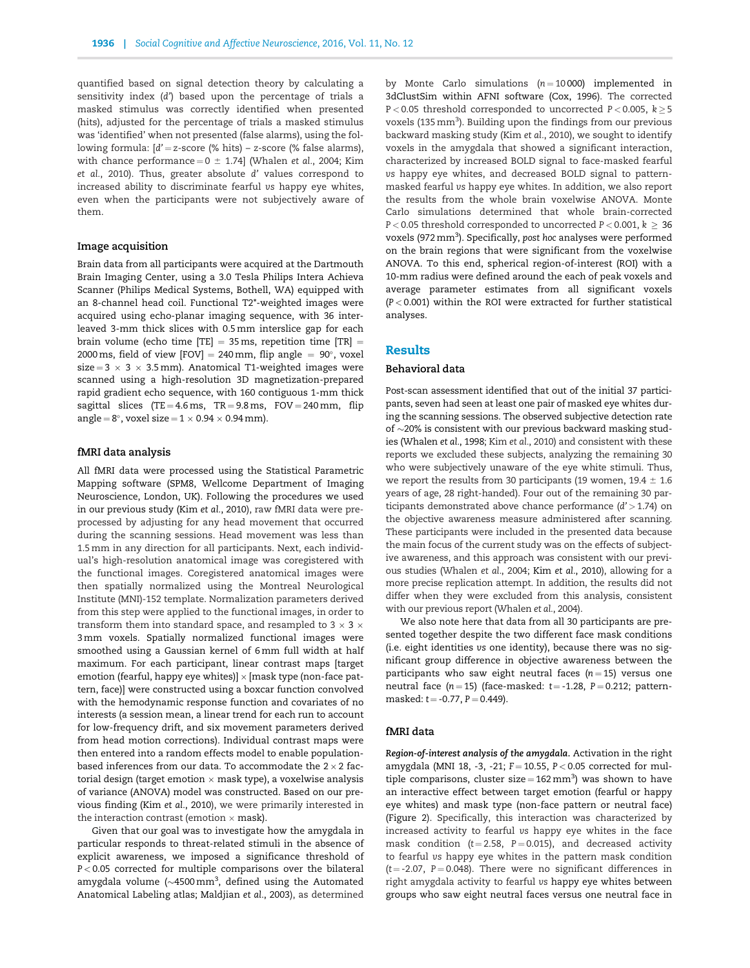quantified based on signal detection theory by calculating a sensitivity index (d') based upon the percentage of trials a masked stimulus was correctly identified when presented (hits), adjusted for the percentage of trials a masked stimulus was 'identified' when not presented (false alarms), using the following formula:  $\left| d' = z\right|$ -score (% hits) – z-score (% false alarms), with chance performance =  $0 \pm 1.74$ ] [\(Whalen](#page-10-0) et al., 2004; [Kim](#page-9-0) et al.[, 2010\)](#page-9-0). Thus, greater absolute d' values correspond to increased ability to discriminate fearful vs happy eye whites, even when the participants were not subjectively aware of them.

#### Image acquisition

Brain data from all participants were acquired at the Dartmouth Brain Imaging Center, using a 3.0 Tesla Philips Intera Achieva Scanner (Philips Medical Systems, Bothell, WA) equipped with an 8-channel head coil. Functional T2\*-weighted images were acquired using echo-planar imaging sequence, with 36 interleaved 3-mm thick slices with 0.5 mm interslice gap for each brain volume (echo time [TE] = 35 ms, repetition time [TR] = 2000 ms, field of view [FOV]  $= 240 \,\mathrm{mm}$ , flip angle  $= 90^{\circ}$ , voxel  $size = 3 \times 3 \times 3.5$  mm). Anatomical T1-weighted images were scanned using a high-resolution 3D magnetization-prepared rapid gradient echo sequence, with 160 contiguous 1-mm thick sagittal slices (TE = 4.6 ms, TR = 9.8 ms, FOV = 240 mm, flip angle =  $8^{\circ}$ , voxel size =  $1 \times 0.94 \times 0.94$  mm).

#### fMRI data analysis

All fMRI data were processed using the Statistical Parametric Mapping software (SPM8, Wellcome Department of Imaging Neuroscience, London, UK). Following the procedures we used in our previous study (Kim et al.[, 2010](#page-9-0)), raw fMRI data were preprocessed by adjusting for any head movement that occurred during the scanning sessions. Head movement was less than 1.5 mm in any direction for all participants. Next, each individual's high-resolution anatomical image was coregistered with the functional images. Coregistered anatomical images were then spatially normalized using the Montreal Neurological Institute (MNI)-152 template. Normalization parameters derived from this step were applied to the functional images, in order to transform them into standard space, and resampled to 3  $\times$  3  $\times$ 3mm voxels. Spatially normalized functional images were smoothed using a Gaussian kernel of 6mm full width at half maximum. For each participant, linear contrast maps [target emotion (fearful, happy eye whites)]  $\times$  [mask type (non-face pattern, face)] were constructed using a boxcar function convolved with the hemodynamic response function and covariates of no interests (a session mean, a linear trend for each run to account for low-frequency drift, and six movement parameters derived from head motion corrections). Individual contrast maps were then entered into a random effects model to enable populationbased inferences from our data. To accommodate the  $2 \times 2$  factorial design (target emotion  $\times$  mask type), a voxelwise analysis of variance (ANOVA) model was constructed. Based on our previous finding (Kim et al.[, 2010\)](#page-9-0), we were primarily interested in the interaction contrast (emotion  $\times$  mask).

Given that our goal was to investigate how the amygdala in particular responds to threat-related stimuli in the absence of explicit awareness, we imposed a significance threshold of P < 0.05 corrected for multiple comparisons over the bilateral amygdala volume ( $\sim$ 4500 $\,\mathrm{mm}^3$ , defined using the Automated Anatomical Labeling atlas; [Maldjian](#page-9-0) et al., 2003), as determined by Monte Carlo simulations  $(n = 10000)$  implemented in 3dClustSim within AFNI software ([Cox, 1996\)](#page-9-0). The corrected  $P < 0.05$  threshold corresponded to uncorrected  $P < 0.005$ ,  $k > 5$ voxels (135 mm<sup>3</sup>). Building upon the findings from our previous backward masking study (Kim et al.[, 2010](#page-9-0)), we sought to identify voxels in the amygdala that showed a significant interaction, characterized by increased BOLD signal to face-masked fearful vs happy eye whites, and decreased BOLD signal to patternmasked fearful vs happy eye whites. In addition, we also report the results from the whole brain voxelwise ANOVA. Monte Carlo simulations determined that whole brain-corrected P < 0.05 threshold corresponded to uncorrected P < 0.001,  $k \geq 36$ voxels (972 mm<sup>3</sup>). Specifically, post hoc analyses were performed on the brain regions that were significant from the voxelwise ANOVA. To this end, spherical region-of-interest (ROI) with a 10-mm radius were defined around the each of peak voxels and average parameter estimates from all significant voxels (P < 0.001) within the ROI were extracted for further statistical analyses.

#### Results

#### Behavioral data

Post-scan assessment identified that out of the initial 37 participants, seven had seen at least one pair of masked eye whites during the scanning sessions. The observed subjective detection rate of  $\sim$ 20% is consistent with our previous backward masking studies [\(Whalen](#page-10-0) et al., 1998; Kim et al.[, 2010](#page-9-0)) and consistent with these reports we excluded these subjects, analyzing the remaining 30 who were subjectively unaware of the eye white stimuli. Thus, we report the results from 30 participants (19 women,  $19.4 \pm 1.6$ years of age, 28 right-handed). Four out of the remaining 30 participants demonstrated above chance performance (d' > 1.74) on the objective awareness measure administered after scanning. These participants were included in the presented data because the main focus of the current study was on the effects of subjective awareness, and this approach was consistent with our previous studies ([Whalen](#page-10-0) et al., 2004; Kim et al.[, 2010](#page-9-0)), allowing for a more precise replication attempt. In addition, the results did not differ when they were excluded from this analysis, consistent with our previous report [\(Whalen](#page-10-0) et al., 2004).

We also note here that data from all 30 participants are presented together despite the two different face mask conditions (i.e. eight identities vs one identity), because there was no significant group difference in objective awareness between the participants who saw eight neutral faces ( $n = 15$ ) versus one neutral face ( $n = 15$ ) (face-masked:  $t = -1.28$ ,  $P = 0.212$ ; patternmasked:  $t = -0.77$ ,  $P = 0.449$ ).

#### fMRI data

Region-of-interest analysis of the amygdala. Activation in the right amygdala (MNI 18, -3, -21;  $F = 10.55$ ,  $P < 0.05$  corrected for multiple comparisons, cluster size =  $162 \text{ mm}^3$ ) was shown to have an interactive effect between target emotion (fearful or happy eye whites) and mask type (non-face pattern or neutral face) [\(Figure 2\)](#page-6-0). Specifically, this interaction was characterized by increased activity to fearful vs happy eye whites in the face mask condition ( $t = 2.58$ ,  $P = 0.015$ ), and decreased activity to fearful vs happy eye whites in the pattern mask condition ( $t = -2.07$ ,  $P = 0.048$ ). There were no significant differences in right amygdala activity to fearful vs happy eye whites between groups who saw eight neutral faces versus one neutral face in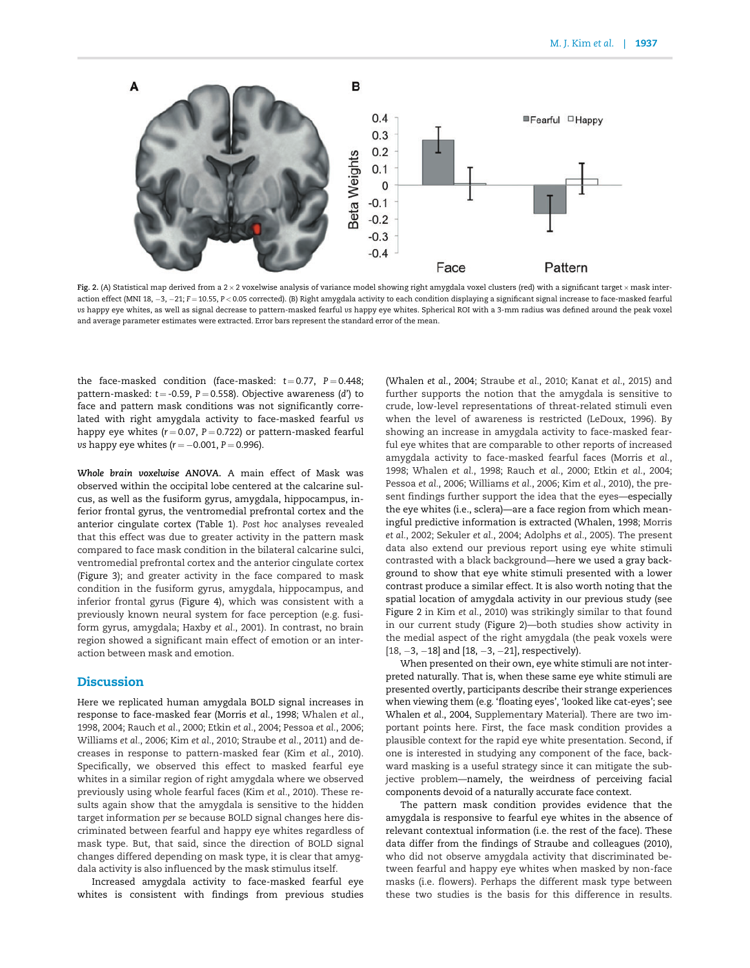<span id="page-6-0"></span>

Fig. 2. (A) Statistical map derived from a 2 × 2 voxelwise analysis of variance model showing right amygdala voxel clusters (red) with a significant target × mask interaction effect (MNI 18, -3, -21; F=10.55, P < 0.05 corrected). (B) Right amygdala activity to each condition displaying a significant signal increase to face-masked fearful vs happy eye whites, as well as signal decrease to pattern-masked fearful vs happy eye whites. Spherical ROI with a 3-mm radius was defined around the peak voxel and average parameter estimates were extracted. Error bars represent the standard error of the mean.

the face-masked condition (face-masked:  $t = 0.77$ ,  $P = 0.448$ ; pattern-masked:  $t = -0.59$ ,  $P = 0.558$ ). Objective awareness (d') to face and pattern mask conditions was not significantly correlated with right amygdala activity to face-masked fearful vs happy eye whites ( $r = 0.07$ ,  $P = 0.722$ ) or pattern-masked fearful vs happy eye whites  $(r = -0.001, P = 0.996)$ .

Whole brain voxelwise ANOVA. A main effect of Mask was observed within the occipital lobe centered at the calcarine sulcus, as well as the fusiform gyrus, amygdala, hippocampus, inferior frontal gyrus, the ventromedial prefrontal cortex and the anterior cingulate cortex [\(Table 1](#page-8-0)). Post hoc analyses revealed that this effect was due to greater activity in the pattern mask compared to face mask condition in the bilateral calcarine sulci, ventromedial prefrontal cortex and the anterior cingulate cortex [\(Figure 3\)](#page-7-0); and greater activity in the face compared to mask condition in the fusiform gyrus, amygdala, hippocampus, and inferior frontal gyrus [\(Figure 4\)](#page-7-0), which was consistent with a previously known neural system for face perception (e.g. fusiform gyrus, amygdala; Haxby et al., 2001). In contrast, no brain region showed a significant main effect of emotion or an interaction between mask and emotion.

#### **Discussion**

Here we replicated human amygdala BOLD signal increases in response to face-masked fear ([Morris](#page-9-0) et al., 1998; [Whalen](#page-10-0) et al., [1998, 2004](#page-10-0); [Rauch](#page-10-0) et al., 2000; Etkin et al.[, 2004;](#page-9-0) [Pessoa](#page-10-0) et al., 2006; [Williams](#page-10-0) et al., 2006; Kim et al.[, 2010](#page-9-0); Straube et al., 2011) and decreases in response to pattern-masked fear (Kim et al.[, 2010\)](#page-9-0). Specifically, we observed this effect to masked fearful eye whites in a similar region of right amygdala where we observed previously using whole fearful faces (Kim et al.[, 2010\)](#page-9-0). These results again show that the amygdala is sensitive to the hidden target information per se because BOLD signal changes here discriminated between fearful and happy eye whites regardless of mask type. But, that said, since the direction of BOLD signal changes differed depending on mask type, it is clear that amygdala activity is also influenced by the mask stimulus itself.

Increased amygdala activity to face-masked fearful eye whites is consistent with findings from previous studies

[\(Whalen](#page-10-0) et al., 2004; [Straube](#page-10-0) et al., 2010; [Kanat](#page-9-0) et al., 2015) and further supports the notion that the amygdala is sensitive to crude, low-level representations of threat-related stimuli even when the level of awareness is restricted ([LeDoux, 1996\)](#page-9-0). By showing an increase in amygdala activity to face-masked fearful eye whites that are comparable to other reports of increased amygdala activity to face-masked fearful faces [\(Morris](#page-9-0) et al., [1998;](#page-9-0) [Whalen](#page-10-0) et al., 1998; [Rauch](#page-10-0) et al., 2000; Etkin et al.[, 2004](#page-9-0); [Pessoa](#page-10-0) et al., 2006; [Williams](#page-10-0) et al., 2006; Kim et al.[, 2010\)](#page-9-0), the present findings further support the idea that the eyes—especially the eye whites (i.e., sclera)—are a face region from which meaningful predictive information is extracted [\(Whalen, 1998](#page-10-0); [Morris](#page-9-0) et al.[, 2002;](#page-9-0) [Sekuler](#page-10-0) et al., 2004; [Adolphs](#page-9-0) et al., 2005). The present data also extend our previous report using eye white stimuli contrasted with a black background—here we used a gray background to show that eye white stimuli presented with a lower contrast produce a similar effect. It is also worth noting that the spatial location of amygdala activity in our previous study (see Figure 2 in Kim et al.[, 2010](#page-9-0)) was strikingly similar to that found in our current study (Figure 2)—both studies show activity in the medial aspect of the right amygdala (the peak voxels were  $[18, -3, -18]$  and  $[18, -3, -21]$ , respectively).

When presented on their own, eye white stimuli are not interpreted naturally. That is, when these same eye white stimuli are presented overtly, participants describe their strange experiences when viewing them (e.g. 'floating eyes', 'looked like cat-eyes'; see [Whalen](#page-10-0) et al., 2004, Supplementary Material). There are two important points here. First, the face mask condition provides a plausible context for the rapid eye white presentation. Second, if one is interested in studying any component of the face, backward masking is a useful strategy since it can mitigate the subjective problem—namely, the weirdness of perceiving facial components devoid of a naturally accurate face context.

The pattern mask condition provides evidence that the amygdala is responsive to fearful eye whites in the absence of relevant contextual information (i.e. the rest of the face). These data differ from the findings of [Straube and colleagues \(2010\)](#page-10-0), who did not observe amygdala activity that discriminated between fearful and happy eye whites when masked by non-face masks (i.e. flowers). Perhaps the different mask type between these two studies is the basis for this difference in results.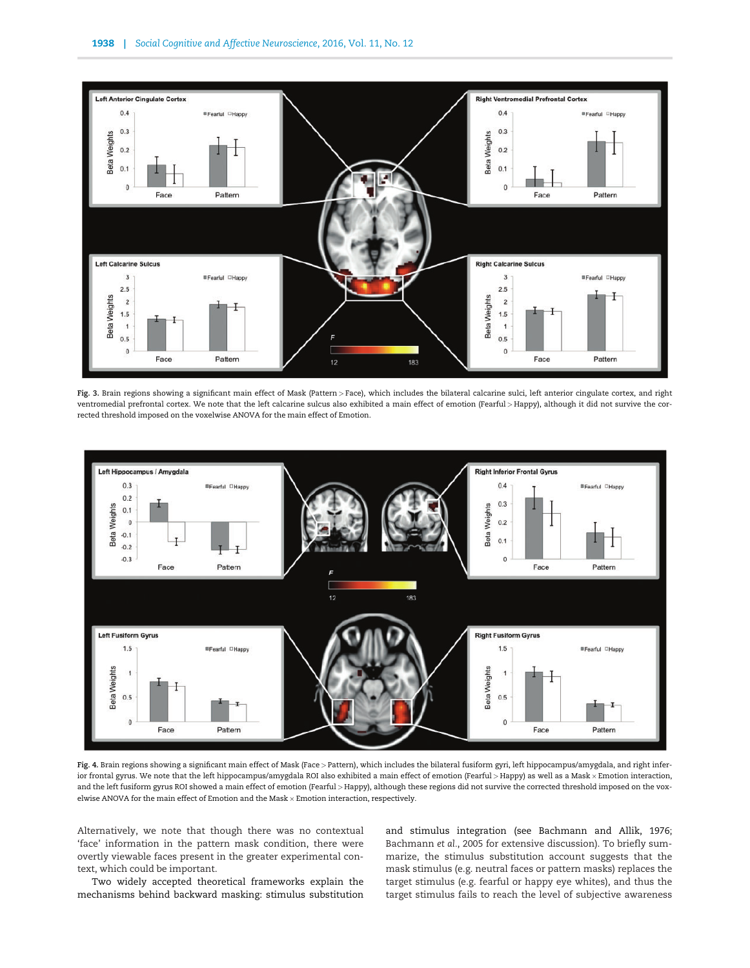<span id="page-7-0"></span>

Fig. 3. Brain regions showing a significant main effect of Mask (Pattern > Face), which includes the bilateral calcarine sulci, left anterior cingulate cortex, and right ventromedial prefrontal cortex. We note that the left calcarine sulcus also exhibited a main effect of emotion (Fearful > Happy), although it did not survive the corrected threshold imposed on the voxelwise ANOVA for the main effect of Emotion.



Fig. 4. Brain regions showing a significant main effect of Mask (Face > Pattern), which includes the bilateral fusiform gyri, left hippocampus/amygdala, and right inferior frontal gyrus. We note that the left hippocampus/amygdala ROI also exhibited a main effect of emotion (Fearful > Happy) as well as a Mask × Emotion interaction, and the left fusiform gyrus ROI showed a main effect of emotion (Fearful > Happy), although these regions did not survive the corrected threshold imposed on the voxelwise ANOVA for the main effect of Emotion and the Mask  $\times$  Emotion interaction, respectively.

Alternatively, we note that though there was no contextual 'face' information in the pattern mask condition, there were overtly viewable faces present in the greater experimental context, which could be important.

Two widely accepted theoretical frameworks explain the mechanisms behind backward masking: stimulus substitution and stimulus integration (see [Bachmann and Allik, 1976](#page-9-0); [Bachmann](#page-9-0) et al., 2005 for extensive discussion). To briefly summarize, the stimulus substitution account suggests that the mask stimulus (e.g. neutral faces or pattern masks) replaces the target stimulus (e.g. fearful or happy eye whites), and thus the target stimulus fails to reach the level of subjective awareness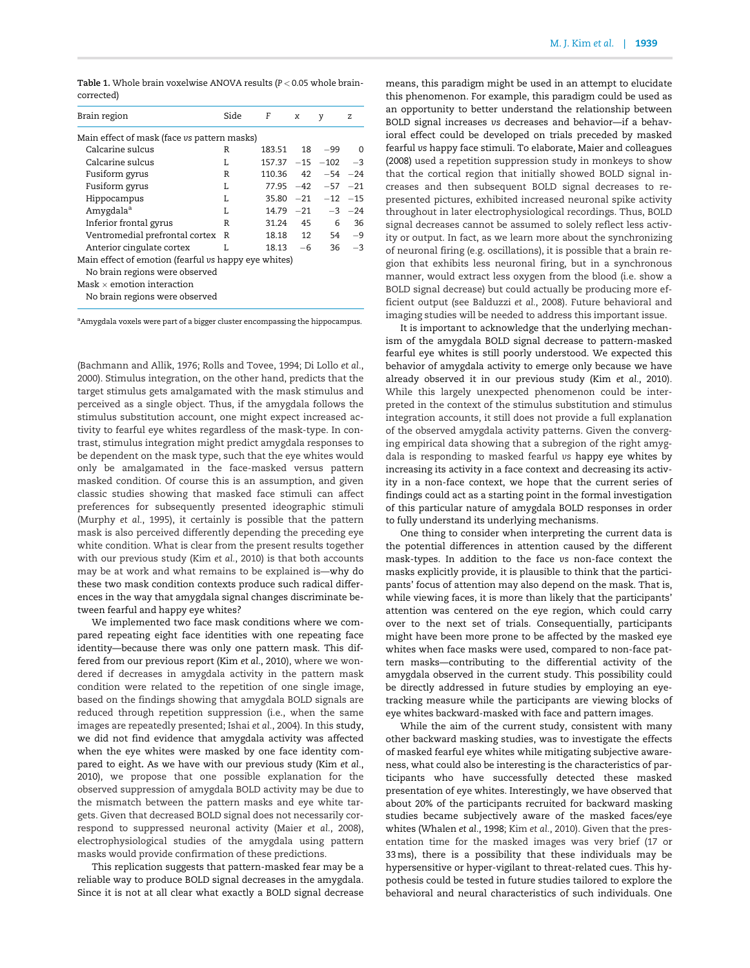<span id="page-8-0"></span>Table 1. Whole brain voxelwise ANOVA results (P < 0.05 whole braincorrected)

| Brain region                                         | Side | F             | x    | y                   | z          |
|------------------------------------------------------|------|---------------|------|---------------------|------------|
| Main effect of mask (face vs pattern masks)          |      |               |      |                     |            |
| Calcarine sulcus                                     | R    | 183.51 18 -99 |      |                     | $\Omega$   |
| Calcarine sulcus                                     | L    | 157.37 -15    |      | $-102 -3$           |            |
| Fusiform gyrus                                       | R    | 110.36        |      | $42 -54 -24$        |            |
| Fusiform gyrus                                       | L    |               |      | $77.95 -42 -57 -21$ |            |
| Hippocampus                                          | T.   |               |      | $35.80 -21 -12 -15$ |            |
| Amygdala <sup>a</sup>                                | T.   | $14.79 -21$   |      |                     | $-3$ $-24$ |
| Inferior frontal gyrus                               | R    | 31.24         | 45   | 6                   | 36         |
| Ventromedial prefrontal cortex                       | R    | 18.18         | 12   | 54                  | $-9$       |
| Anterior cingulate cortex                            | L    | 18.13         | $-6$ | 36                  | $-3$       |
| Main effect of emotion (fearful vs happy eye whites) |      |               |      |                     |            |
| No brain regions were observed                       |      |               |      |                     |            |
| Mask $\times$ emotion interaction                    |      |               |      |                     |            |
| No brain regions were observed                       |      |               |      |                     |            |

<sup>a</sup>Amygdala voxels were part of a bigger cluster encompassing the hippocampus.

[\(Bachmann and Allik, 1976](#page-9-0); [Rolls and Tovee, 1994](#page-10-0); [Di Lollo](#page-9-0) et al., [2000\)](#page-9-0). Stimulus integration, on the other hand, predicts that the target stimulus gets amalgamated with the mask stimulus and perceived as a single object. Thus, if the amygdala follows the stimulus substitution account, one might expect increased activity to fearful eye whites regardless of the mask-type. In contrast, stimulus integration might predict amygdala responses to be dependent on the mask type, such that the eye whites would only be amalgamated in the face-masked versus pattern masked condition. Of course this is an assumption, and given classic studies showing that masked face stimuli can affect preferences for subsequently presented ideographic stimuli [\(Murphy](#page-9-0) et al., 1995), it certainly is possible that the pattern mask is also perceived differently depending the preceding eye white condition. What is clear from the present results together with our previous study (Kim et al.[, 2010](#page-9-0)) is that both accounts may be at work and what remains to be explained is—why do these two mask condition contexts produce such radical differences in the way that amygdala signal changes discriminate between fearful and happy eye whites?

We implemented two face mask conditions where we compared repeating eight face identities with one repeating face identity—because there was only one pattern mask. This differed from our previous report (Kim et al.[, 2010\)](#page-9-0), where we wondered if decreases in amygdala activity in the pattern mask condition were related to the repetition of one single image, based on the findings showing that amygdala BOLD signals are reduced through repetition suppression (i.e., when the same images are repeatedly presented; Ishai et al.[, 2004\)](#page-9-0). In this study, we did not find evidence that amygdala activity was affected when the eye whites were masked by one face identity compared to eight. As we have with our previous study (Kim [et al.](#page-9-0), [2010\)](#page-9-0), we propose that one possible explanation for the observed suppression of amygdala BOLD activity may be due to the mismatch between the pattern masks and eye white targets. Given that decreased BOLD signal does not necessarily correspond to suppressed neuronal activity (Maier et al.[, 2008\)](#page-9-0), electrophysiological studies of the amygdala using pattern masks would provide confirmation of these predictions.

This replication suggests that pattern-masked fear may be a reliable way to produce BOLD signal decreases in the amygdala. Since it is not at all clear what exactly a BOLD signal decrease means, this paradigm might be used in an attempt to elucidate this phenomenon. For example, this paradigm could be used as an opportunity to better understand the relationship between BOLD signal increases vs decreases and behavior—if a behavioral effect could be developed on trials preceded by masked fearful vs happy face stimuli. To elaborate, [Maier and colleagues](#page-9-0) [\(2008\)](#page-9-0) used a repetition suppression study in monkeys to show that the cortical region that initially showed BOLD signal increases and then subsequent BOLD signal decreases to represented pictures, exhibited increased neuronal spike activity throughout in later electrophysiological recordings. Thus, BOLD signal decreases cannot be assumed to solely reflect less activity or output. In fact, as we learn more about the synchronizing of neuronal firing (e.g. oscillations), it is possible that a brain region that exhibits less neuronal firing, but in a synchronous manner, would extract less oxygen from the blood (i.e. show a BOLD signal decrease) but could actually be producing more efficient output (see [Balduzzi](#page-9-0) et al., 2008). Future behavioral and imaging studies will be needed to address this important issue.

It is important to acknowledge that the underlying mechanism of the amygdala BOLD signal decrease to pattern-masked fearful eye whites is still poorly understood. We expected this behavior of amygdala activity to emerge only because we have already observed it in our previous study (Kim et al.[, 2010\)](#page-9-0). While this largely unexpected phenomenon could be interpreted in the context of the stimulus substitution and stimulus integration accounts, it still does not provide a full explanation of the observed amygdala activity patterns. Given the converging empirical data showing that a subregion of the right amygdala is responding to masked fearful vs happy eye whites by increasing its activity in a face context and decreasing its activity in a non-face context, we hope that the current series of findings could act as a starting point in the formal investigation of this particular nature of amygdala BOLD responses in order to fully understand its underlying mechanisms.

One thing to consider when interpreting the current data is the potential differences in attention caused by the different mask-types. In addition to the face vs non-face context the masks explicitly provide, it is plausible to think that the participants' focus of attention may also depend on the mask. That is, while viewing faces, it is more than likely that the participants' attention was centered on the eye region, which could carry over to the next set of trials. Consequentially, participants might have been more prone to be affected by the masked eye whites when face masks were used, compared to non-face pattern masks—contributing to the differential activity of the amygdala observed in the current study. This possibility could be directly addressed in future studies by employing an eyetracking measure while the participants are viewing blocks of eye whites backward-masked with face and pattern images.

While the aim of the current study, consistent with many other backward masking studies, was to investigate the effects of masked fearful eye whites while mitigating subjective awareness, what could also be interesting is the characteristics of participants who have successfully detected these masked presentation of eye whites. Interestingly, we have observed that about 20% of the participants recruited for backward masking studies became subjectively aware of the masked faces/eye whites [\(Whalen](#page-10-0) et al., 1998; Kim et al.[, 2010\)](#page-9-0). Given that the presentation time for the masked images was very brief (17 or 33ms), there is a possibility that these individuals may be hypersensitive or hyper-vigilant to threat-related cues. This hypothesis could be tested in future studies tailored to explore the behavioral and neural characteristics of such individuals. One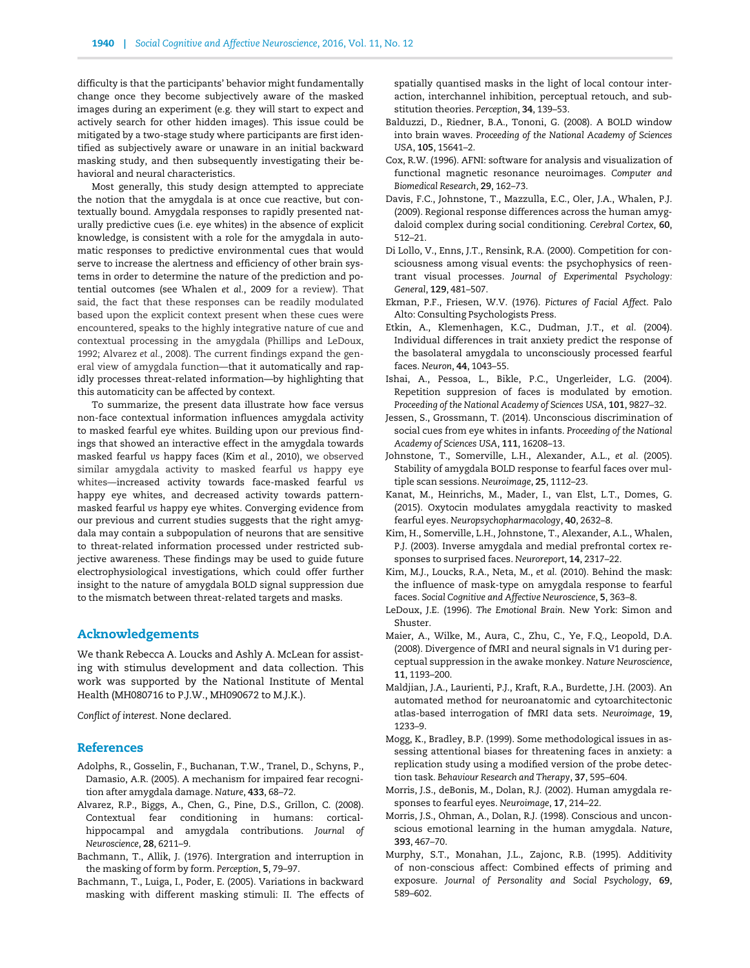<span id="page-9-0"></span>difficulty is that the participants' behavior might fundamentally change once they become subjectively aware of the masked images during an experiment (e.g. they will start to expect and actively search for other hidden images). This issue could be mitigated by a two-stage study where participants are first identified as subjectively aware or unaware in an initial backward masking study, and then subsequently investigating their behavioral and neural characteristics.

Most generally, this study design attempted to appreciate the notion that the amygdala is at once cue reactive, but contextually bound. Amygdala responses to rapidly presented naturally predictive cues (i.e. eye whites) in the absence of explicit knowledge, is consistent with a role for the amygdala in automatic responses to predictive environmental cues that would serve to increase the alertness and efficiency of other brain systems in order to determine the nature of the prediction and potential outcomes (see [Whalen](#page-10-0) et al., 2009 for a review). That said, the fact that these responses can be readily modulated based upon the explicit context present when these cues were encountered, speaks to the highly integrative nature of cue and contextual processing in the amygdala ([Phillips and LeDoux,](#page-10-0) [1992;](#page-10-0) Alvarez et al., 2008). The current findings expand the general view of amygdala function—that it automatically and rapidly processes threat-related information—by highlighting that this automaticity can be affected by context.

To summarize, the present data illustrate how face versus non-face contextual information influences amygdala activity to masked fearful eye whites. Building upon our previous findings that showed an interactive effect in the amygdala towards masked fearful vs happy faces (Kim et al., 2010), we observed similar amygdala activity to masked fearful vs happy eye whites—increased activity towards face-masked fearful vs happy eye whites, and decreased activity towards patternmasked fearful vs happy eye whites. Converging evidence from our previous and current studies suggests that the right amygdala may contain a subpopulation of neurons that are sensitive to threat-related information processed under restricted subjective awareness. These findings may be used to guide future electrophysiological investigations, which could offer further insight to the nature of amygdala BOLD signal suppression due to the mismatch between threat-related targets and masks.

#### Acknowledgements

We thank Rebecca A. Loucks and Ashly A. McLean for assisting with stimulus development and data collection. This work was supported by the National Institute of Mental Health (MH080716 to P.J.W., MH090672 to M.J.K.).

Conflict of interest. None declared.

#### **References**

- Adolphs, R., Gosselin, F., Buchanan, T.W., Tranel, D., Schyns, P., Damasio, A.R. (2005). A mechanism for impaired fear recognition after amygdala damage. Nature, 433, 68–72.
- Alvarez, R.P., Biggs, A., Chen, G., Pine, D.S., Grillon, C. (2008). Contextual fear conditioning in humans: corticalhippocampal and amygdala contributions. Journal of Neuroscience, 28, 6211–9.
- Bachmann, T., Allik, J. (1976). Intergration and interruption in the masking of form by form. Perception, 5, 79–97.
- Bachmann, T., Luiga, I., Poder, E. (2005). Variations in backward masking with different masking stimuli: II. The effects of

spatially quantised masks in the light of local contour interaction, interchannel inhibition, perceptual retouch, and substitution theories. Perception, 34, 139–53.

- Balduzzi, D., Riedner, B.A., Tononi, G. (2008). A BOLD window into brain waves. Proceeding of the National Academy of Sciences USA, 105, 15641–2.
- Cox, R.W. (1996). AFNI: software for analysis and visualization of functional magnetic resonance neuroimages. Computer and Biomedical Research, 29, 162–73.
- Davis, F.C., Johnstone, T., Mazzulla, E.C., Oler, J.A., Whalen, P.J. (2009). Regional response differences across the human amygdaloid complex during social conditioning. Cerebral Cortex, 60, 512–21.
- Di Lollo, V., Enns, J.T., Rensink, R.A. (2000). Competition for consciousness among visual events: the psychophysics of reentrant visual processes. Journal of Experimental Psychology: General, 129, 481–507.
- Ekman, P.F., Friesen, W.V. (1976). Pictures of Facial Affect. Palo Alto: Consulting Psychologists Press.
- Etkin, A., Klemenhagen, K.C., Dudman, J.T., et al. (2004). Individual differences in trait anxiety predict the response of the basolateral amygdala to unconsciously processed fearful faces. Neuron, 44, 1043–55.
- Ishai, A., Pessoa, L., Bikle, P.C., Ungerleider, L.G. (2004). Repetition suppresion of faces is modulated by emotion. Proceeding of the National Academy of Sciences USA, 101, 9827–32.
- Jessen, S., Grossmann, T. (2014). Unconscious discrimination of social cues from eye whites in infants. Proceeding of the National Academy of Sciences USA, 111, 16208–13.
- Johnstone, T., Somerville, L.H., Alexander, A.L., et al. (2005). Stability of amygdala BOLD response to fearful faces over multiple scan sessions. Neuroimage, 25, 1112–23.
- Kanat, M., Heinrichs, M., Mader, I., van Elst, L.T., Domes, G. (2015). Oxytocin modulates amygdala reactivity to masked fearful eyes. Neuropsychopharmacology, 40, 2632–8.
- Kim, H., Somerville, L.H., Johnstone, T., Alexander, A.L., Whalen, P.J. (2003). Inverse amygdala and medial prefrontal cortex responses to surprised faces. Neuroreport, 14, 2317–22.
- Kim, M.J., Loucks, R.A., Neta, M., et al. (2010). Behind the mask: the influence of mask-type on amygdala response to fearful faces. Social Cognitive and Affective Neuroscience, 5, 363–8.
- LeDoux, J.E. (1996). The Emotional Brain. New York: Simon and Shuster.
- Maier, A., Wilke, M., Aura, C., Zhu, C., Ye, F.Q., Leopold, D.A. (2008). Divergence of fMRI and neural signals in V1 during perceptual suppression in the awake monkey. Nature Neuroscience, 11, 1193–200.
- Maldjian, J.A., Laurienti, P.J., Kraft, R.A., Burdette, J.H. (2003). An automated method for neuroanatomic and cytoarchitectonic atlas-based interrogation of fMRI data sets. Neuroimage, 19, 1233–9.
- Mogg, K., Bradley, B.P. (1999). Some methodological issues in assessing attentional biases for threatening faces in anxiety: a replication study using a modified version of the probe detection task. Behaviour Research and Therapy, 37, 595–604.
- Morris, J.S., deBonis, M., Dolan, R.J. (2002). Human amygdala responses to fearful eyes. Neuroimage, 17, 214–22.
- Morris, J.S., Ohman, A., Dolan, R.J. (1998). Conscious and unconscious emotional learning in the human amygdala. Nature, 393, 467–70.
- Murphy, S.T., Monahan, J.L., Zajonc, R.B. (1995). Additivity of non-conscious affect: Combined effects of priming and exposure. Journal of Personality and Social Psychology, 69, 589–602.